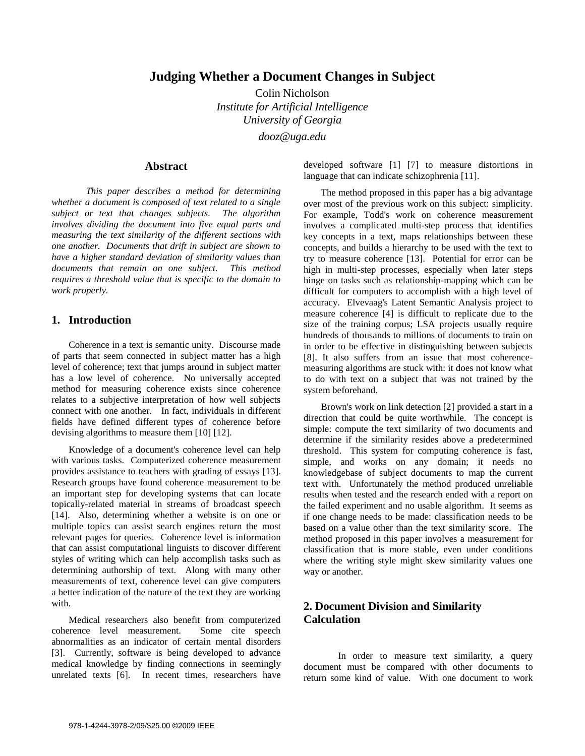# **Judging Whether a Document Changes in Subject**

Colin Nicholson *Institute for Artificial Intelligence University of Georgia dooz@uga.edu* 

## **Abstract**

*This paper describes a method for determining whether a document is composed of text related to a single subject or text that changes subjects. The algorithm involves dividing the document into five equal parts and measuring the text similarity of the different sections with one another. Documents that drift in subject are shown to have a higher standard deviation of similarity values than documents that remain on one subject. This method requires a threshold value that is specific to the domain to work properly.* 

# **1. Introduction**

Coherence in a text is semantic unity. Discourse made of parts that seem connected in subject matter has a high level of coherence; text that jumps around in subject matter has a low level of coherence. No universally accepted method for measuring coherence exists since coherence relates to a subjective interpretation of how well subjects connect with one another. In fact, individuals in different fields have defined different types of coherence before devising algorithms to measure them [10] [12].

Knowledge of a document's coherence level can help with various tasks. Computerized coherence measurement provides assistance to teachers with grading of essays [13]. Research groups have found coherence measurement to be an important step for developing systems that can locate topically-related material in streams of broadcast speech [14]. Also, determining whether a website is on one or multiple topics can assist search engines return the most relevant pages for queries. Coherence level is information that can assist computational linguists to discover different styles of writing which can help accomplish tasks such as determining authorship of text. Along with many other measurements of text, coherence level can give computers a better indication of the nature of the text they are working with.

Medical researchers also benefit from computerized coherence level measurement. Some cite speech abnormalities as an indicator of certain mental disorders [3]. Currently, software is being developed to advance medical knowledge by finding connections in seemingly unrelated texts [6]. In recent times, researchers have

developed software [1] [7] to measure distortions in language that can indicate schizophrenia [11].

The method proposed in this paper has a big advantage over most of the previous work on this subject: simplicity. For example, Todd's work on coherence measurement involves a complicated multi-step process that identifies key concepts in a text, maps relationships between these concepts, and builds a hierarchy to be used with the text to try to measure coherence [13]. Potential for error can be high in multi-step processes, especially when later steps hinge on tasks such as relationship-mapping which can be difficult for computers to accomplish with a high level of accuracy. Elvevaag's Latent Semantic Analysis project to measure coherence [4] is difficult to replicate due to the size of the training corpus; LSA projects usually require hundreds of thousands to millions of documents to train on in order to be effective in distinguishing between subjects [8]. It also suffers from an issue that most coherencemeasuring algorithms are stuck with: it does not know what to do with text on a subject that was not trained by the system beforehand.

Brown's work on link detection [2] provided a start in a direction that could be quite worthwhile. The concept is simple: compute the text similarity of two documents and determine if the similarity resides above a predetermined threshold. This system for computing coherence is fast, simple, and works on any domain; it needs no knowledgebase of subject documents to map the current text with. Unfortunately the method produced unreliable results when tested and the research ended with a report on the failed experiment and no usable algorithm. It seems as if one change needs to be made: classification needs to be based on a value other than the text similarity score. The method proposed in this paper involves a measurement for classification that is more stable, even under conditions where the writing style might skew similarity values one way or another.

# **2. Document Division and Similarity Calculation**

In order to measure text similarity, a query document must be compared with other documents to return some kind of value. With one document to work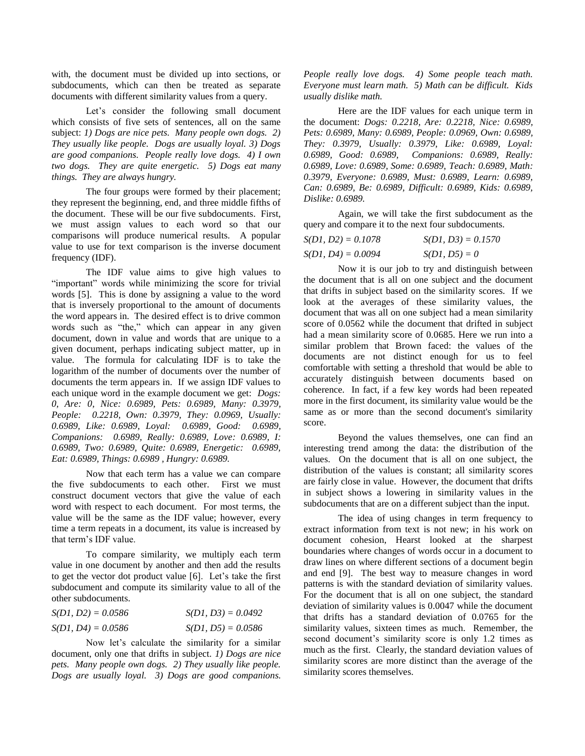with, the document must be divided up into sections, or subdocuments, which can then be treated as separate documents with different similarity values from a query.

Let's consider the following small document which consists of five sets of sentences, all on the same subject: *1) Dogs are nice pets. Many people own dogs. 2) They usually like people. Dogs are usually loyal. 3) Dogs are good companions. People really love dogs. 4) I own two dogs. They are quite energetic. 5) Dogs eat many things. They are always hungry.*

The four groups were formed by their placement; they represent the beginning, end, and three middle fifths of the document. These will be our five subdocuments. First, we must assign values to each word so that our comparisons will produce numerical results. A popular value to use for text comparison is the inverse document frequency (IDF).

The IDF value aims to give high values to "important" words while minimizing the score for trivial words [5]. This is done by assigning a value to the word that is inversely proportional to the amount of documents the word appears in. The desired effect is to drive common words such as "the," which can appear in any given document, down in value and words that are unique to a given document, perhaps indicating subject matter, up in value. The formula for calculating IDF is to take the logarithm of the number of documents over the number of documents the term appears in. If we assign IDF values to each unique word in the example document we get: *Dogs: 0, Are: 0, Nice: 0.6989, Pets: 0.6989, Many: 0.3979, People: 0.2218, Own: 0.3979, They: 0.0969, Usually: 0.6989, Like: 0.6989, Loyal: 0.6989, Good: 0.6989, Companions: 0.6989, Really: 0.6989, Love: 0.6989, I: 0.6989, Two: 0.6989, Quite: 0.6989, Energetic: 0.6989, Eat: 0.6989, Things: 0.6989 , Hungry: 0.6989.*

Now that each term has a value we can compare the five subdocuments to each other. First we must construct document vectors that give the value of each word with respect to each document. For most terms, the value will be the same as the IDF value; however, every time a term repeats in a document, its value is increased by that term's IDF value.

To compare similarity, we multiply each term value in one document by another and then add the results to get the vector dot product value [6]. Let's take the first subdocument and compute its similarity value to all of the other subdocuments.

| $S(D1, D2) = 0.0586$ | $S(D1, D3) = 0.0492$ |
|----------------------|----------------------|
| $S(D1, D4) = 0.0586$ | $S(D1, D5) = 0.0586$ |

Now let's calculate the similarity for a similar document, only one that drifts in subject. *1) Dogs are nice pets. Many people own dogs. 2) They usually like people. Dogs are usually loyal. 3) Dogs are good companions.* 

*People really love dogs. 4) Some people teach math. Everyone must learn math. 5) Math can be difficult. Kids usually dislike math.*

Here are the IDF values for each unique term in the document: *Dogs: 0.2218, Are: 0.2218, Nice: 0.6989, Pets: 0.6989, Many: 0.6989, People: 0.0969, Own: 0.6989, They: 0.3979, Usually: 0.3979, Like: 0.6989, Loyal: 0.6989, Good: 0.6989, Companions: 0.6989, Really: 0.6989, Love: 0.6989, Some: 0.6989, Teach: 0.6989, Math: 0.3979, Everyone: 0.6989, Must: 0.6989, Learn: 0.6989, Can: 0.6989, Be: 0.6989, Difficult: 0.6989, Kids: 0.6989, Dislike: 0.6989.*

Again, we will take the first subdocument as the query and compare it to the next four subdocuments.

| $S(D1, D2) = 0.1078$ | $S(D1, D3) = 0.1570$ |
|----------------------|----------------------|
| $S(D1, D4) = 0.0094$ | $S(D1, D5) = 0$      |

Now it is our job to try and distinguish between the document that is all on one subject and the document that drifts in subject based on the similarity scores. If we look at the averages of these similarity values, the document that was all on one subject had a mean similarity score of 0.0562 while the document that drifted in subject had a mean similarity score of 0.0685. Here we run into a similar problem that Brown faced: the values of the documents are not distinct enough for us to feel comfortable with setting a threshold that would be able to accurately distinguish between documents based on coherence. In fact, if a few key words had been repeated more in the first document, its similarity value would be the same as or more than the second document's similarity score.

Beyond the values themselves, one can find an interesting trend among the data: the distribution of the values. On the document that is all on one subject, the distribution of the values is constant; all similarity scores are fairly close in value. However, the document that drifts in subject shows a lowering in similarity values in the subdocuments that are on a different subject than the input.

The idea of using changes in term frequency to extract information from text is not new; in his work on document cohesion, Hearst looked at the sharpest boundaries where changes of words occur in a document to draw lines on where different sections of a document begin and end [9]. The best way to measure changes in word patterns is with the standard deviation of similarity values. For the document that is all on one subject, the standard deviation of similarity values is 0.0047 while the document that drifts has a standard deviation of 0.0765 for the similarity values, sixteen times as much. Remember, the second document's similarity score is only 1.2 times as much as the first. Clearly, the standard deviation values of similarity scores are more distinct than the average of the similarity scores themselves.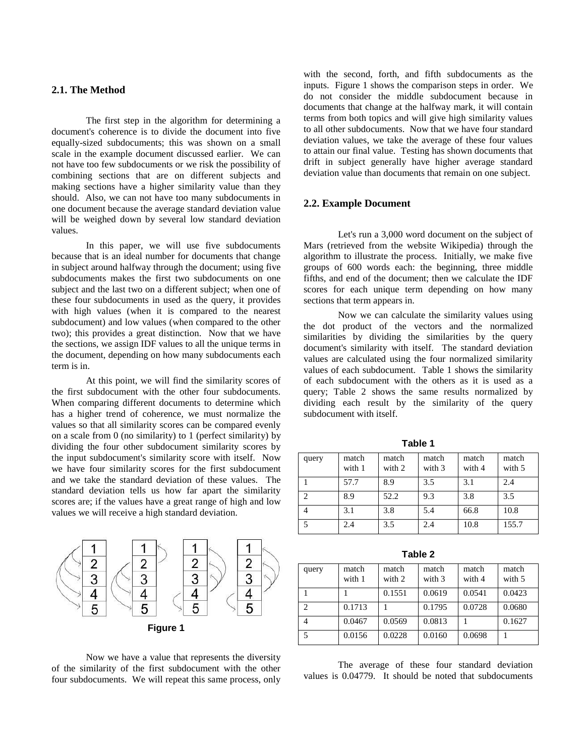# **2.1. The Method**

The first step in the algorithm for determining a document's coherence is to divide the document into five equally-sized subdocuments; this was shown on a small scale in the example document discussed earlier. We can not have too few subdocuments or we risk the possibility of combining sections that are on different subjects and making sections have a higher similarity value than they should. Also, we can not have too many subdocuments in one document because the average standard deviation value will be weighed down by several low standard deviation values.

In this paper, we will use five subdocuments because that is an ideal number for documents that change in subject around halfway through the document; using five subdocuments makes the first two subdocuments on one subject and the last two on a different subject; when one of these four subdocuments in used as the query, it provides with high values (when it is compared to the nearest subdocument) and low values (when compared to the other two); this provides a great distinction. Now that we have the sections, we assign IDF values to all the unique terms in the document, depending on how many subdocuments each term is in.

At this point, we will find the similarity scores of the first subdocument with the other four subdocuments. When comparing different documents to determine which has a higher trend of coherence, we must normalize the values so that all similarity scores can be compared evenly on a scale from 0 (no similarity) to 1 (perfect similarity) by dividing the four other subdocument similarity scores by the input subdocument's similarity score with itself. Now we have four similarity scores for the first subdocument and we take the standard deviation of these values. The standard deviation tells us how far apart the similarity scores are; if the values have a great range of high and low values we will receive a high standard deviation.



Now we have a value that represents the diversity of the similarity of the first subdocument with the other four subdocuments. We will repeat this same process, only

with the second, forth, and fifth subdocuments as the inputs. Figure 1 shows the comparison steps in order. We do not consider the middle subdocument because in documents that change at the halfway mark, it will contain terms from both topics and will give high similarity values to all other subdocuments. Now that we have four standard deviation values, we take the average of these four values to attain our final value. Testing has shown documents that drift in subject generally have higher average standard deviation value than documents that remain on one subject.

## **2.2. Example Document**

Let's run a 3,000 word document on the subject of Mars (retrieved from the website Wikipedia) through the algorithm to illustrate the process. Initially, we make five groups of 600 words each: the beginning, three middle fifths, and end of the document; then we calculate the IDF scores for each unique term depending on how many sections that term appears in.

Now we can calculate the similarity values using the dot product of the vectors and the normalized similarities by dividing the similarities by the query document's similarity with itself. The standard deviation values are calculated using the four normalized similarity values of each subdocument. Table 1 shows the similarity of each subdocument with the others as it is used as a query; Table 2 shows the same results normalized by dividing each result by the similarity of the query subdocument with itself.

**Table 1**

| query | match<br>with 1 | match<br>with 2 | match<br>with 3 | match<br>with 4 | match<br>with 5 |
|-------|-----------------|-----------------|-----------------|-----------------|-----------------|
|       | 57.7            | 8.9             | 3.5             | 3.1             | 2.4             |
| ി     | 8.9             | 52.2            | 9.3             | 3.8             | 3.5             |
|       | 3.1             | 3.8             | 5.4             | 66.8            | 10.8            |
|       | 2.4             | 3.5             | 2.4             | 10.8            | 155.7           |

**Table 2**

| query         | match<br>with 1 | match<br>with 2 | match<br>with 3 | match<br>with 4 | match<br>with 5 |
|---------------|-----------------|-----------------|-----------------|-----------------|-----------------|
|               |                 | 0.1551          | 0.0619          | 0.0541          | 0.0423          |
| $\mathcal{D}$ | 0.1713          |                 | 0.1795          | 0.0728          | 0.0680          |
|               | 0.0467          | 0.0569          | 0.0813          |                 | 0.1627          |
| 5             | 0.0156          | 0.0228          | 0.0160          | 0.0698          |                 |

The average of these four standard deviation values is 0.04779. It should be noted that subdocuments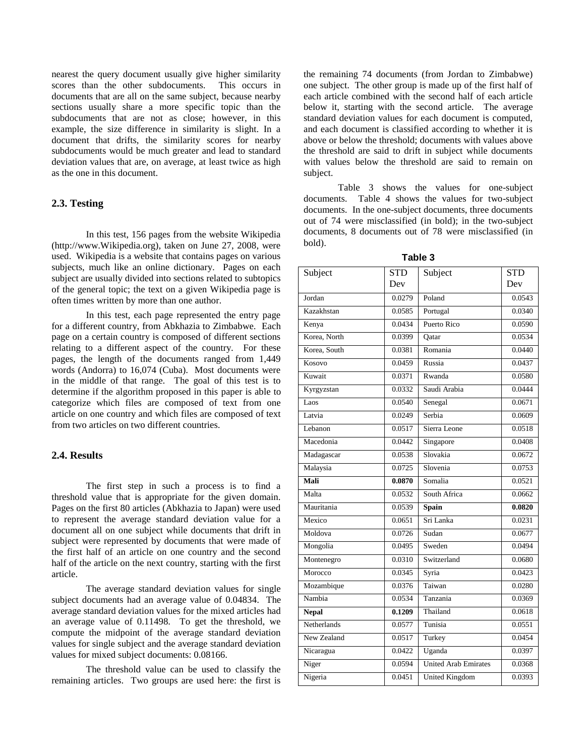nearest the query document usually give higher similarity scores than the other subdocuments. This occurs in documents that are all on the same subject, because nearby sections usually share a more specific topic than the subdocuments that are not as close; however, in this example, the size difference in similarity is slight. In a document that drifts, the similarity scores for nearby subdocuments would be much greater and lead to standard deviation values that are, on average, at least twice as high as the one in this document.

## **2.3. Testing**

In this test, 156 pages from the website Wikipedia (http://www.Wikipedia.org), taken on June 27, 2008, were used. Wikipedia is a website that contains pages on various subjects, much like an online dictionary. Pages on each subject are usually divided into sections related to subtopics of the general topic; the text on a given Wikipedia page is often times written by more than one author.

In this test, each page represented the entry page for a different country, from Abkhazia to Zimbabwe. Each page on a certain country is composed of different sections relating to a different aspect of the country. For these pages, the length of the documents ranged from 1,449 words (Andorra) to 16,074 (Cuba). Most documents were in the middle of that range. The goal of this test is to determine if the algorithm proposed in this paper is able to categorize which files are composed of text from one article on one country and which files are composed of text from two articles on two different countries.

### **2.4. Results**

The first step in such a process is to find a threshold value that is appropriate for the given domain. Pages on the first 80 articles (Abkhazia to Japan) were used to represent the average standard deviation value for a document all on one subject while documents that drift in subject were represented by documents that were made of the first half of an article on one country and the second half of the article on the next country, starting with the first article.

The average standard deviation values for single subject documents had an average value of 0.04834. The average standard deviation values for the mixed articles had an average value of 0.11498. To get the threshold, we compute the midpoint of the average standard deviation values for single subject and the average standard deviation values for mixed subject documents: 0.08166.

The threshold value can be used to classify the remaining articles. Two groups are used here: the first is

the remaining 74 documents (from Jordan to Zimbabwe) one subject. The other group is made up of the first half of each article combined with the second half of each article below it, starting with the second article. The average standard deviation values for each document is computed, and each document is classified according to whether it is above or below the threshold; documents with values above the threshold are said to drift in subject while documents with values below the threshold are said to remain on subject.

Table 3 shows the values for one-subject documents. Table 4 shows the values for two-subject documents. In the one-subject documents, three documents out of 74 were misclassified (in bold); in the two-subject documents, 8 documents out of 78 were misclassified (in bold).

| Subject            | <b>STD</b> | Subject                     | <b>STD</b> |
|--------------------|------------|-----------------------------|------------|
|                    | Dev        |                             | Dev        |
| Jordan             | 0.0279     | Poland                      | 0.0543     |
| Kazakhstan         | 0.0585     | Portugal                    | 0.0340     |
| Kenya              | 0.0434     | Puerto Rico                 | 0.0590     |
| Korea, North       | 0.0399     | Oatar                       | 0.0534     |
| Korea, South       | 0.0381     | Romania                     | 0.0440     |
| Kosovo             | 0.0459     | Russia                      | 0.0437     |
| Kuwait             | 0.0371     | Rwanda                      | 0.0580     |
| Kyrgyzstan         | 0.0332     | Saudi Arabia                | 0.0444     |
| Laos               | 0.0540     | Senegal                     | 0.0671     |
| Latvia             | 0.0249     | Serbia                      | 0.0609     |
| Lebanon            | 0.0517     | Sierra Leone                | 0.0518     |
| Macedonia          | 0.0442     | Singapore                   | 0.0408     |
| Madagascar         | 0.0538     | Slovakia                    | 0.0672     |
| Malaysia           | 0.0725     | Slovenia                    | 0.0753     |
| Mali               | 0.0870     | Somalia                     | 0.0521     |
| Malta              | 0.0532     | South Africa                | 0.0662     |
| Mauritania         | 0.0539     | Spain                       | 0.0820     |
| Mexico             | 0.0651     | Sri Lanka                   | 0.0231     |
| Moldova            | 0.0726     | Sudan                       | 0.0677     |
| Mongolia           | 0.0495     | Sweden                      | 0.0494     |
| Montenegro         | 0.0310     | Switzerland                 | 0.0680     |
| Morocco            | 0.0345     | Syria                       | 0.0423     |
| Mozambique         | 0.0376     | Taiwan                      | 0.0280     |
| Nambia             | 0.0534     | Tanzania                    | 0.0369     |
| <b>Nepal</b>       | 0.1209     | Thailand                    | 0.0618     |
| <b>Netherlands</b> | 0.0577     | Tunisia                     | 0.0551     |
| New Zealand        | 0.0517     | Turkey                      | 0.0454     |
| Nicaragua          | 0.0422     | Uganda                      | 0.0397     |
| Niger              | 0.0594     | <b>United Arab Emirates</b> | 0.0368     |
| Nigeria            | 0.0451     | <b>United Kingdom</b>       | 0.0393     |
|                    |            |                             |            |

**Table 3**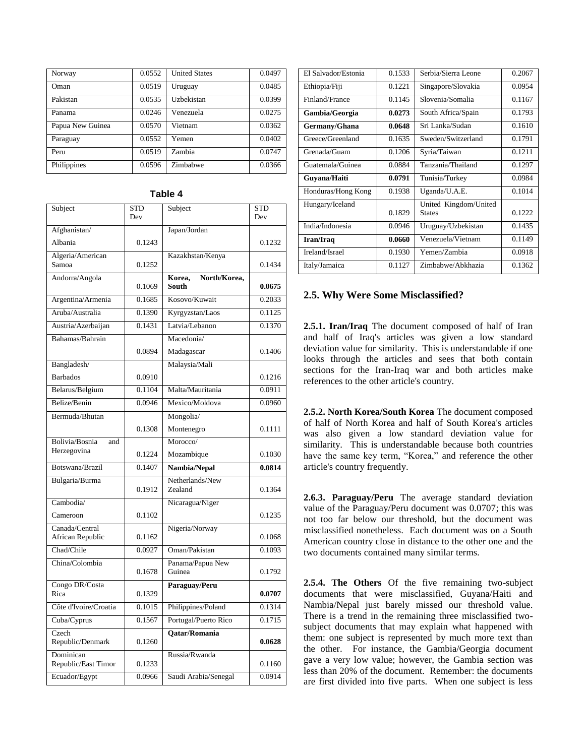| Norway           | 0.0552 | <b>United States</b> | 0.0497 |
|------------------|--------|----------------------|--------|
| Oman             | 0.0519 | Uruguay              | 0.0485 |
| Pakistan         | 0.0535 | Uzbekistan           | 0.0399 |
| Panama           | 0.0246 | Venezuela            | 0.0275 |
| Papua New Guinea | 0.0570 | Vietnam              | 0.0362 |
| Paraguay         | 0.0552 | Yemen                | 0.0402 |
| Peru             | 0.0519 | Zambia               | 0.0747 |
| Philippines      | 0.0596 | Zimbabwe             | 0.0366 |

| Subject                          | <b>STD</b> | Subject                                | <b>STD</b> |
|----------------------------------|------------|----------------------------------------|------------|
|                                  | Dev        |                                        | Dev        |
| Afghanistan/                     |            | Japan/Jordan                           |            |
| Albania                          | 0.1243     |                                        | 0.1232     |
| Algeria/American                 |            | Kazakhstan/Kenya                       |            |
| Samoa                            | 0.1252     |                                        | 0.1434     |
| Andorra/Angola                   | 0.1069     | North/Korea,<br>Korea,<br><b>South</b> | 0.0675     |
| Argentina/Armenia                | 0.1685     | Kosovo/Kuwait                          | 0.2033     |
| Aruba/Australia                  | 0.1390     | Kyrgyzstan/Laos                        | 0.1125     |
| Austria/Azerbaijan               | 0.1431     | Latvia/Lebanon                         | 0.1370     |
| Bahamas/Bahrain                  |            | Macedonia/                             |            |
|                                  | 0.0894     | Madagascar                             | 0.1406     |
| Bangladesh/                      |            | Malaysia/Mali                          |            |
| <b>Barbados</b>                  | 0.0910     |                                        | 0.1216     |
| Belarus/Belgium                  | 0.1104     | Malta/Mauritania                       | 0.0911     |
| Belize/Benin                     | 0.0946     | Mexico/Moldova                         | 0.0960     |
| Bermuda/Bhutan                   |            | Mongolia/                              |            |
|                                  | 0.1308     | Montenegro                             | 0.1111     |
| Bolivia/Bosnia<br>and            |            | Morocco/                               |            |
| Herzegovina                      | 0.1224     | Mozambique                             | 0.1030     |
| Botswana/Brazil                  | 0.1407     | Nambia/Nepal                           | 0.0814     |
| Bulgaria/Burma                   |            | Netherlands/New                        |            |
|                                  | 0.1912     | Zealand                                | 0.1364     |
| Cambodia/                        |            | Nicaragua/Niger                        |            |
| Cameroon                         | 0.1102     |                                        | 0.1235     |
| Canada/Central                   |            | Nigeria/Norway                         |            |
| African Republic                 | 0.1162     |                                        | 0.1068     |
| Chad/Chile                       | 0.0927     | Oman/Pakistan                          | 0.1093     |
| China/Colombia                   | 0.1678     | Panama/Papua New<br>Guinea             | 0.1792     |
| Congo DR/Costa<br>Rica           | 0.1329     | Paraguay/Peru                          | 0.0707     |
| Côte d'Ivoire/Croatia            | 0.1015     | Philippines/Poland                     | 0.1314     |
| Cuba/Cyprus                      | 0.1567     | Portugal/Puerto Rico                   | 0.1715     |
| Czech<br>Republic/Denmark        | 0.1260     | Qatar/Romania                          | 0.0628     |
| Dominican<br>Republic/East Timor | 0.1233     | Russia/Rwanda                          | 0.1160     |
| Ecuador/Egypt                    | 0.0966     | Saudi Arabia/Senegal                   | 0.0914     |

### **Table 4**

| El Salvador/Estonia | 0.1533 | Serbia/Sierra Leone   | 0.2067 |
|---------------------|--------|-----------------------|--------|
| Ethiopia/Fiji       | 0.1221 | Singapore/Slovakia    | 0.0954 |
| Finland/France      | 0.1145 | Slovenia/Somalia      | 0.1167 |
| Gambia/Georgia      | 0.0273 | South Africa/Spain    | 0.1793 |
| Germany/Ghana       | 0.0648 | Sri Lanka/Sudan       | 0.1610 |
| Greece/Greenland    | 0.1635 | Sweden/Switzerland    | 0.1791 |
| Grenada/Guam        | 0.1206 | Syria/Taiwan          | 0.1211 |
| Guatemala/Guinea    | 0.0884 | Tanzania/Thailand     | 0.1297 |
| Guvana/Haiti        | 0.0791 | Tunisia/Turkey        | 0.0984 |
| Honduras/Hong Kong  | 0.1938 | Uganda/U.A.E.         | 0.1014 |
| Hungary/Iceland     |        | United Kingdom/United |        |
|                     |        |                       |        |
|                     | 0.1829 | <b>States</b>         | 0.1222 |
| India/Indonesia     | 0.0946 | Uruguay/Uzbekistan    | 0.1435 |
| Iran/Iraq           | 0.0660 | Venezuela/Vietnam     | 0.1149 |
| Ireland/Israel      | 0.1930 | Yemen/Zambia          | 0.0918 |

### **2.5. Why Were Some Misclassified?**

**2.5.1. Iran/Iraq** The document composed of half of Iran and half of Iraq's articles was given a low standard deviation value for similarity. This is understandable if one looks through the articles and sees that both contain sections for the Iran-Iraq war and both articles make references to the other article's country.

**2.5.2. North Korea/South Korea** The document composed of half of North Korea and half of South Korea's articles was also given a low standard deviation value for similarity. This is understandable because both countries have the same key term, "Korea," and reference the other article's country frequently.

**2.6.3. Paraguay/Peru** The average standard deviation value of the Paraguay/Peru document was 0.0707; this was not too far below our threshold, but the document was misclassified nonetheless. Each document was on a South American country close in distance to the other one and the two documents contained many similar terms.

**2.5.4. The Others** Of the five remaining two-subject documents that were misclassified, Guyana/Haiti and Nambia/Nepal just barely missed our threshold value. There is a trend in the remaining three misclassified twosubject documents that may explain what happened with them: one subject is represented by much more text than the other. For instance, the Gambia/Georgia document gave a very low value; however, the Gambia section was less than 20% of the document. Remember: the documents are first divided into five parts. When one subject is less